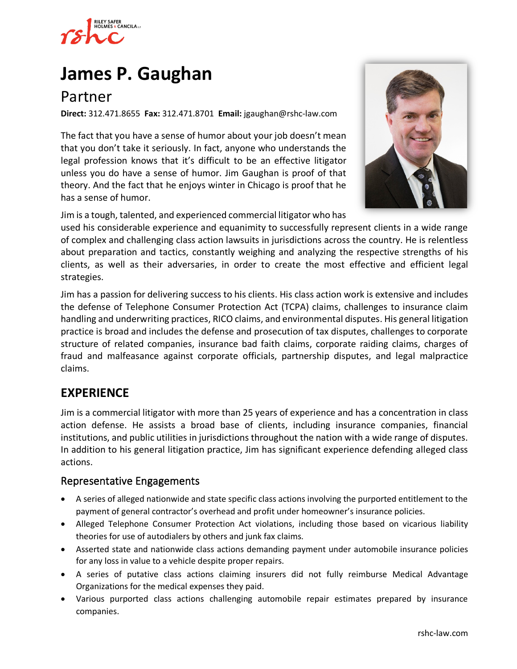

# **[James P. Gaughan](https://www.rshc-law.com/attorneys/attorney/james-p.-gaughan)**

# Partner

**Direct:** 312.471.8655 **Fax:** 312.471.8701 **Email:** jgaughan@rshc-law.com

The fact that you have a sense of humor about your job doesn't mean that you don't take it seriously. In fact, anyone who understands the legal profession knows that it's difficult to be an effective litigator unless you do have a sense of humor. Jim Gaughan is proof of that theory. And the fact that he enjoys winter in Chicago is proof that he has a sense of humor.



Jim is a tough, talented, and experienced commercial litigator who has

used his considerable experience and equanimity to successfully represent clients in a wide range of complex and challenging class action lawsuits in jurisdictions across the country. He is relentless about preparation and tactics, constantly weighing and analyzing the respective strengths of his clients, as well as their adversaries, in order to create the most effective and efficient legal strategies.

Jim has a passion for delivering success to his clients. His class action work is extensive and includes the defense of Telephone Consumer Protection Act (TCPA) claims, challenges to insurance claim handling and underwriting practices, RICO claims, and environmental disputes. His general litigation practice is broad and includes the defense and prosecution of tax disputes, challenges to corporate structure of related companies, insurance bad faith claims, corporate raiding claims, charges of fraud and malfeasance against corporate officials, partnership disputes, and legal malpractice claims.

## **EXPERIENCE**

Jim is a commercial litigator with more than 25 years of experience and has a concentration in class action defense. He assists a broad base of clients, including insurance companies, financial institutions, and public utilities in jurisdictions throughout the nation with a wide range of disputes. In addition to his general litigation practice, Jim has significant experience defending alleged class actions.

#### Representative Engagements

- A series of alleged nationwide and state specific class actions involving the purported entitlement to the payment of general contractor's overhead and profit under homeowner's insurance policies.
- Alleged Telephone Consumer Protection Act violations, including those based on vicarious liability theories for use of autodialers by others and junk fax claims.
- Asserted state and nationwide class actions demanding payment under automobile insurance policies for any loss in value to a vehicle despite proper repairs.
- A series of putative class actions claiming insurers did not fully reimburse Medical Advantage Organizations for the medical expenses they paid.
- Various purported class actions challenging automobile repair estimates prepared by insurance companies.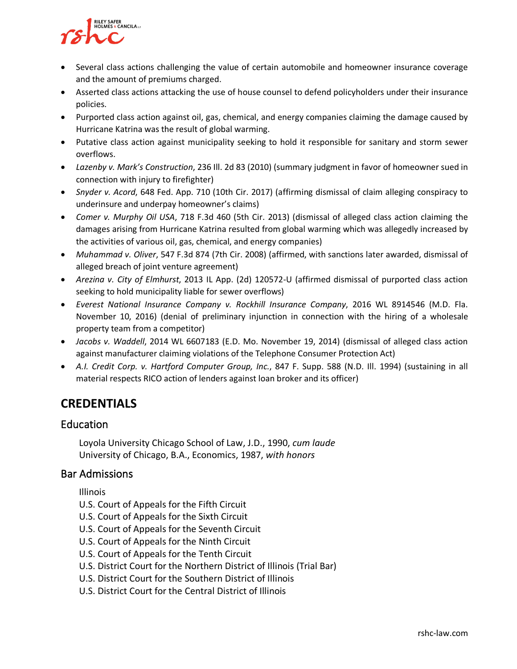

- Several class actions challenging the value of certain automobile and homeowner insurance coverage and the amount of premiums charged.
- Asserted class actions attacking the use of house counsel to defend policyholders under their insurance policies.
- Purported class action against oil, gas, chemical, and energy companies claiming the damage caused by Hurricane Katrina was the result of global warming.
- Putative class action against municipality seeking to hold it responsible for sanitary and storm sewer overflows.
- *Lazenby v. Mark's Construction*, 236 Ill. 2d 83 (2010) (summary judgment in favor of homeowner sued in connection with injury to firefighter)
- *Snyder v. Acord*, 648 Fed. App. 710 (10th Cir. 2017) (affirming dismissal of claim alleging conspiracy to underinsure and underpay homeowner's claims)
- *Comer v. Murphy Oil USA*, 718 F.3d 460 (5th Cir. 2013) (dismissal of alleged class action claiming the damages arising from Hurricane Katrina resulted from global warming which was allegedly increased by the activities of various oil, gas, chemical, and energy companies)
- *Muhammad v. Oliver*, 547 F.3d 874 (7th Cir. 2008) (affirmed, with sanctions later awarded, dismissal of alleged breach of joint venture agreement)
- *Arezina v. City of Elmhurst*, 2013 IL App. (2d) 120572-U (affirmed dismissal of purported class action seeking to hold municipality liable for sewer overflows)
- *Everest National Insurance Company v. Rockhill Insurance Company*, 2016 WL 8914546 (M.D. Fla. November 10, 2016) (denial of preliminary injunction in connection with the hiring of a wholesale property team from a competitor)
- *Jacobs v. Waddell*, 2014 WL 6607183 (E.D. Mo. November 19, 2014) (dismissal of alleged class action against manufacturer claiming violations of the Telephone Consumer Protection Act)
- *A.I. Credit Corp. v. Hartford Computer Group, Inc.*, 847 F. Supp. 588 (N.D. Ill. 1994) (sustaining in all material respects RICO action of lenders against loan broker and its officer)

# **CREDENTIALS**

### **Education**

Loyola University Chicago School of Law, J.D., 1990, *cum laude* University of Chicago, B.A., Economics, 1987, *with honors*

#### Bar Admissions

Illinois

- U.S. Court of Appeals for the Fifth Circuit
- U.S. Court of Appeals for the Sixth Circuit
- U.S. Court of Appeals for the Seventh Circuit
- U.S. Court of Appeals for the Ninth Circuit
- U.S. Court of Appeals for the Tenth Circuit
- U.S. District Court for the Northern District of Illinois (Trial Bar)
- U.S. District Court for the Southern District of Illinois
- U.S. District Court for the Central District of Illinois